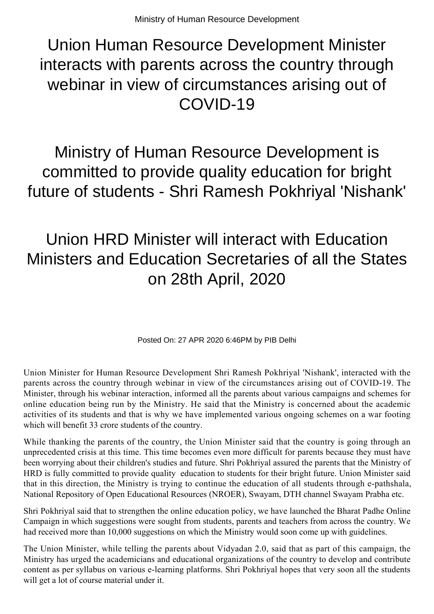## Union Human Resource Development Minister interacts with parents across the country through webinar in view of circumstances arising out of COVID-19

Ministry of Human Resource Development is committed to provide quality education for bright future of students - Shri Ramesh Pokhriyal 'Nishank'

## Union HRD Minister will interact with Education Ministers and Education Secretaries of all the States on 28th April, 2020

Posted On: 27 APR 2020 6:46PM by PIB Delhi

Union Minister for Human Resource Development Shri Ramesh Pokhriyal 'Nishank', interacted with the parents across the country through webinar in view of the circumstances arising out of COVID-19. The Minister, through his webinar interaction, informed all the parents about various campaigns and schemes for online education being run by the Ministry. He said that the Ministry is concerned about the academic activities of its students and that is why we have implemented various ongoing schemes on a war footing which will benefit 33 crore students of the country.

While thanking the parents of the country, the Union Minister said that the country is going through an unprecedented crisis at this time. This time becomes even more difficult for parents because they must have been worrying about their children's studies and future. Shri Pokhriyal assured the parents that the Ministry of HRD is fully committed to provide quality education to students for their bright future. Union Minister said that in this direction, the Ministry is trying to continue the education of all students through e-pathshala, National Repository of Open Educational Resources (NROER), Swayam, DTH channel Swayam Prabha etc.

Shri Pokhriyal said that to strengthen the online education policy, we have launched the Bharat Padhe Online Campaign in which suggestions were sought from students, parents and teachers from across the country. We had received more than 10,000 suggestions on which the Ministry would soon come up with guidelines.

The Union Minister, while telling the parents about Vidyadan 2.0, said that as part of this campaign, the Ministry has urged the academicians and educational organizations of the country to develop and contribute content as per syllabus on various e-learning platforms. Shri Pokhriyal hopes that very soon all the students will get a lot of course material under it.